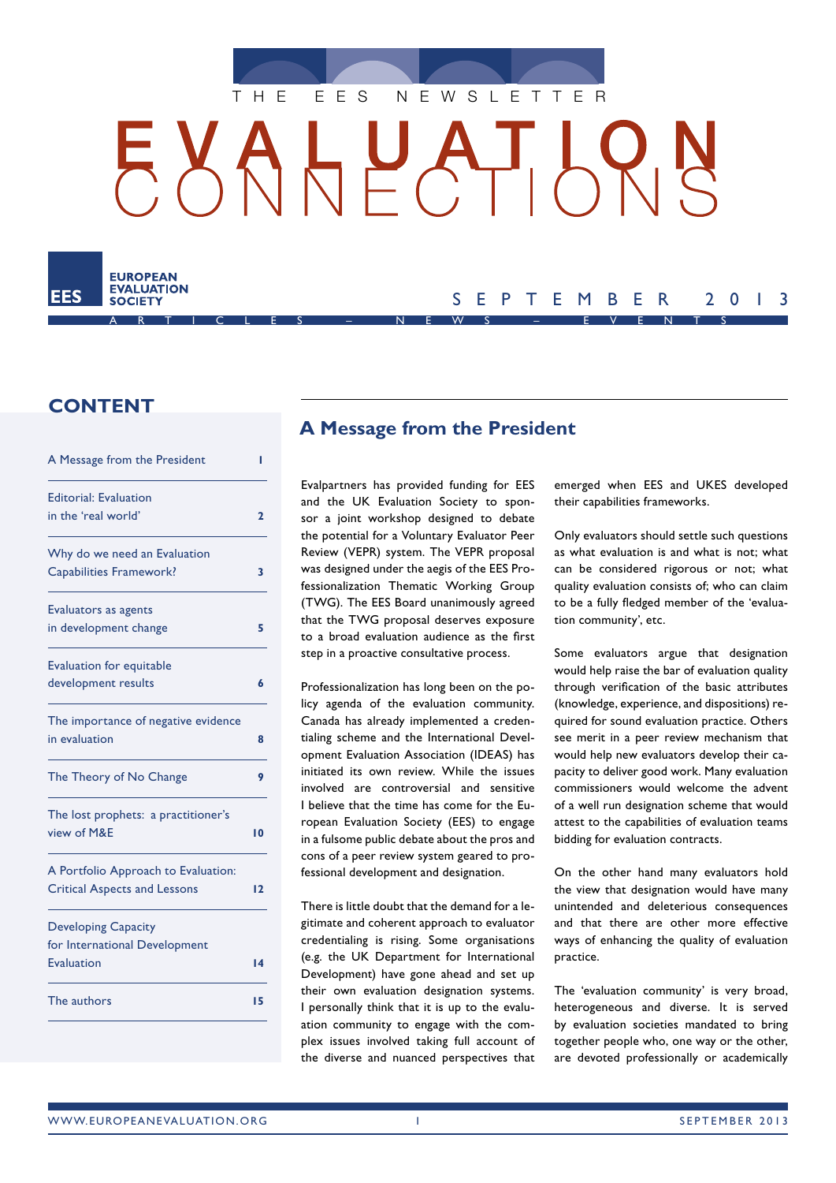

# $L$ ┌┚╷┝

ARTICLES – NEWS – EVENTS

# **CONTENT**

**EUROPEAN EVALUATION SOCIETY** 

| A Message from the President        | ı            |
|-------------------------------------|--------------|
| <b>Editorial: Evaluation</b>        |              |
| in the 'real world'                 | $\mathbf{2}$ |
| Why do we need an Evaluation        |              |
| <b>Capabilities Framework?</b>      | 3            |
| Evaluators as agents                |              |
| in development change               | 5            |
| <b>Evaluation for equitable</b>     |              |
| development results                 | 6            |
| The importance of negative evidence |              |
| in evaluation                       | 8            |
| The Theory of No Change             | 9            |
| The lost prophets: a practitioner's |              |
| view of M&E                         | 10           |
| A Portfolio Approach to Evaluation: |              |
| <b>Critical Aspects and Lessons</b> | 12           |
| <b>Developing Capacity</b>          |              |
| for International Development       |              |
| Evaluation                          | 14           |
| The authors                         | 15           |
|                                     |              |

# **A Message from the President**

Evalpartners has provided funding for EES and the UK Evaluation Society to sponsor a joint workshop designed to debate the potential for a Voluntary Evaluator Peer Review (VEPR) system. The VEPR proposal was designed under the aegis of the EES Professionalization Thematic Working Group (TWG). The EES Board unanimously agreed that the TWG proposal deserves exposure to a broad evaluation audience as the first step in a proactive consultative process.

Professionalization has long been on the policy agenda of the evaluation community. Canada has already implemented a credentialing scheme and the International Development Evaluation Association (IDEAS) has initiated its own review. While the issues involved are controversial and sensitive I believe that the time has come for the European Evaluation Society (EES) to engage in a fulsome public debate about the pros and cons of a peer review system geared to professional development and designation.

There is little doubt that the demand for a legitimate and coherent approach to evaluator credentialing is rising. Some organisations (e.g. the UK Department for International Development) have gone ahead and set up their own evaluation designation systems. I personally think that it is up to the evaluation community to engage with the complex issues involved taking full account of the diverse and nuanced perspectives that emerged when EES and UKES developed their capabilities frameworks.

SEPTEMBER 2013

Only evaluators should settle such questions as what evaluation is and what is not; what can be considered rigorous or not; what quality evaluation consists of; who can claim to be a fully fledged member of the 'evaluation community', etc.

Some evaluators argue that designation would help raise the bar of evaluation quality through verification of the basic attributes (knowledge, experience, and dispositions) required for sound evaluation practice. Others see merit in a peer review mechanism that would help new evaluators develop their capacity to deliver good work. Many evaluation commissioners would welcome the advent of a well run designation scheme that would attest to the capabilities of evaluation teams bidding for evaluation contracts.

On the other hand many evaluators hold the view that designation would have many unintended and deleterious consequences and that there are other more effective ways of enhancing the quality of evaluation practice.

The 'evaluation community' is very broad, heterogeneous and diverse. It is served by evaluation societies mandated to bring together people who, one way or the other, are devoted professionally or academically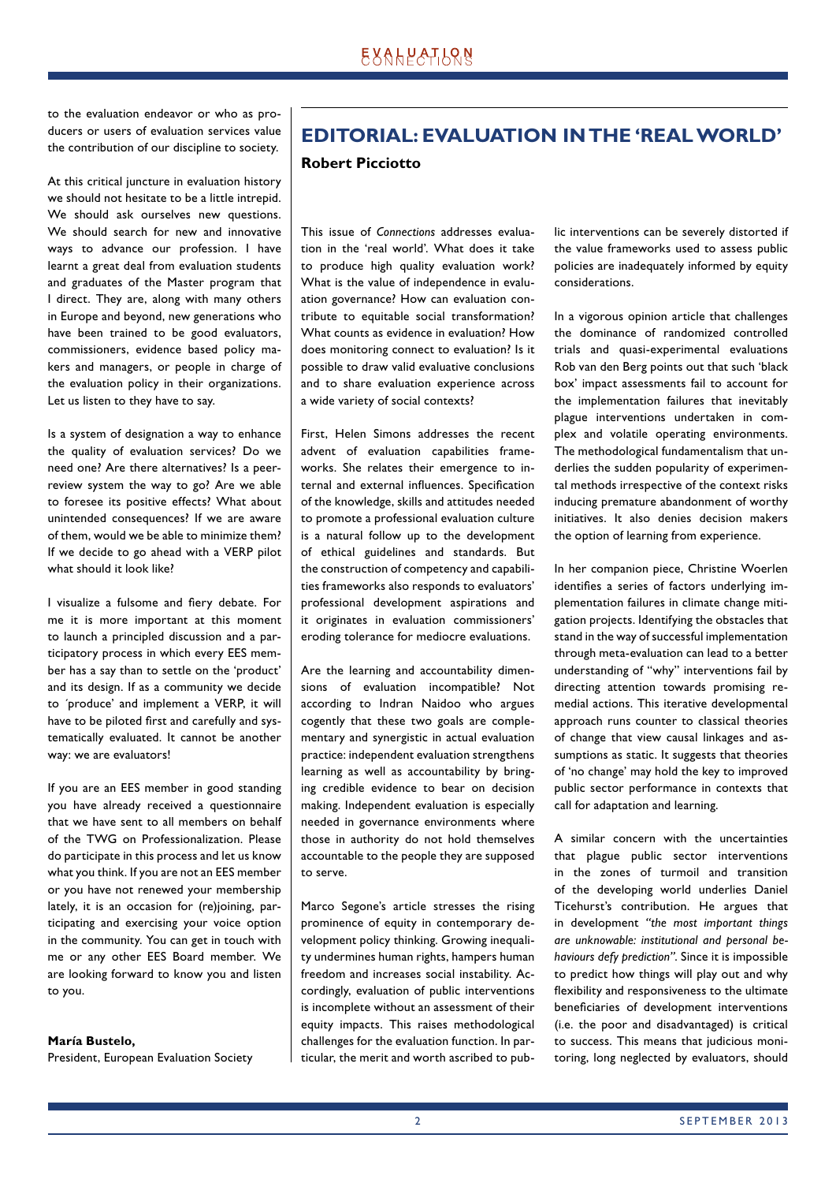to the evaluation endeavor or who as producers or users of evaluation services value the contribution of our discipline to society.

At this critical juncture in evaluation history we should not hesitate to be a little intrepid. We should ask ourselves new questions. We should search for new and innovative ways to advance our profession. I have learnt a great deal from evaluation students and graduates of the Master program that I direct. They are, along with many others in Europe and beyond, new generations who have been trained to be good evaluators, commissioners, evidence based policy makers and managers, or people in charge of the evaluation policy in their organizations. Let us listen to they have to say.

Is a system of designation a way to enhance the quality of evaluation services? Do we need one? Are there alternatives? Is a peerreview system the way to go? Are we able to foresee its positive effects? What about unintended consequences? If we are aware of them, would we be able to minimize them? If we decide to go ahead with a VERP pilot what should it look like?

I visualize a fulsome and fiery debate. For me it is more important at this moment to launch a principled discussion and a participatory process in which every EES member has a say than to settle on the 'product' and its design. If as a community we decide to ´produce' and implement a VERP, it will have to be piloted first and carefully and systematically evaluated. It cannot be another way: we are evaluators!

If you are an EES member in good standing you have already received a questionnaire that we have sent to all members on behalf of the TWG on Professionalization. Please do participate in this process and let us know what you think. If you are not an EES member or you have not renewed your membership lately, it is an occasion for (re)joining, participating and exercising your voice option in the community. You can get in touch with me or any other EES Board member. We are looking forward to know you and listen to you.

#### **María Bustelo,** President, European Evaluation Society

# **EDITORIAL: EVALUATION IN THE 'REAL WORLD'**

#### **Robert Picciotto**

This issue of *Connections* addresses evaluation in the 'real world'. What does it take to produce high quality evaluation work? What is the value of independence in evaluation governance? How can evaluation contribute to equitable social transformation? What counts as evidence in evaluation? How does monitoring connect to evaluation? Is it possible to draw valid evaluative conclusions and to share evaluation experience across a wide variety of social contexts?

First, Helen Simons addresses the recent advent of evaluation capabilities frameworks. She relates their emergence to internal and external influences. Specification of the knowledge, skills and attitudes needed to promote a professional evaluation culture is a natural follow up to the development of ethical guidelines and standards. But the construction of competency and capabilities frameworks also responds to evaluators' professional development aspirations and it originates in evaluation commissioners' eroding tolerance for mediocre evaluations.

Are the learning and accountability dimensions of evaluation incompatible? Not according to Indran Naidoo who argues cogently that these two goals are complementary and synergistic in actual evaluation practice: independent evaluation strengthens learning as well as accountability by bringing credible evidence to bear on decision making. Independent evaluation is especially needed in governance environments where those in authority do not hold themselves accountable to the people they are supposed to serve.

Marco Segone's article stresses the rising prominence of equity in contemporary development policy thinking. Growing inequality undermines human rights, hampers human freedom and increases social instability. Accordingly, evaluation of public interventions is incomplete without an assessment of their equity impacts. This raises methodological challenges for the evaluation function. In particular, the merit and worth ascribed to public interventions can be severely distorted if the value frameworks used to assess public policies are inadequately informed by equity considerations.

In a vigorous opinion article that challenges the dominance of randomized controlled trials and quasi-experimental evaluations Rob van den Berg points out that such 'black box' impact assessments fail to account for the implementation failures that inevitably plague interventions undertaken in complex and volatile operating environments. The methodological fundamentalism that underlies the sudden popularity of experimental methods irrespective of the context risks inducing premature abandonment of worthy initiatives. It also denies decision makers the option of learning from experience.

In her companion piece, Christine Woerlen identifies a series of factors underlying implementation failures in climate change mitigation projects. Identifying the obstacles that stand in the way of successful implementation through meta-evaluation can lead to a better understanding of "why" interventions fail by directing attention towards promising remedial actions. This iterative developmental approach runs counter to classical theories of change that view causal linkages and assumptions as static. It suggests that theories of 'no change' may hold the key to improved public sector performance in contexts that call for adaptation and learning.

A similar concern with the uncertainties that plague public sector interventions in the zones of turmoil and transition of the developing world underlies Daniel Ticehurst's contribution. He argues that in development *"the most important things are unknowable: institutional and personal behaviours defy prediction"*. Since it is impossible to predict how things will play out and why flexibility and responsiveness to the ultimate beneficiaries of development interventions (i.e. the poor and disadvantaged) is critical to success. This means that judicious monitoring, long neglected by evaluators, should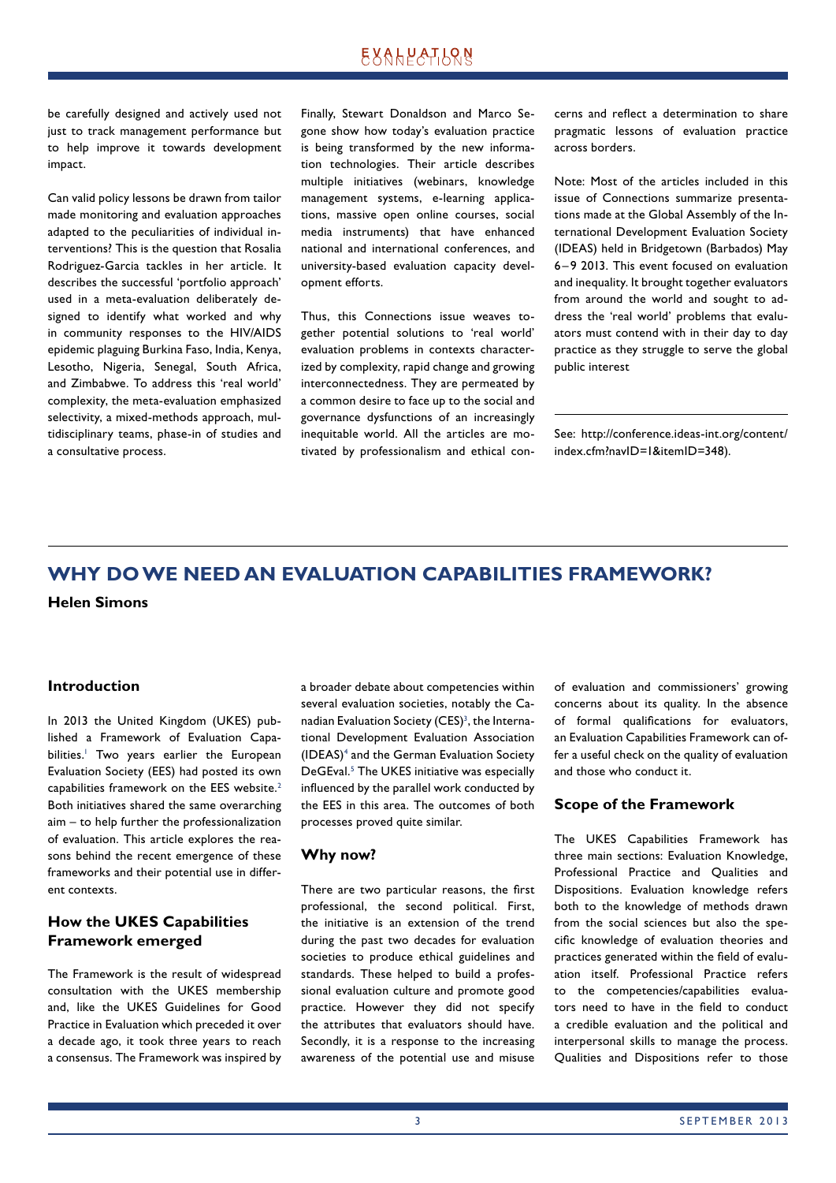# **EXALPATLQN**

be carefully designed and actively used not just to track management performance but to help improve it towards development impact.

Can valid policy lessons be drawn from tailor made monitoring and evaluation approaches adapted to the peculiarities of individual interventions? This is the question that Rosalia Rodriguez-Garcia tackles in her article. It describes the successful 'portfolio approach' used in a meta-evaluation deliberately designed to identify what worked and why in community responses to the HIV/AIDS epidemic plaguing Burkina Faso, India, Kenya, Lesotho, Nigeria, Senegal, South Africa, and Zimbabwe. To address this 'real world' complexity, the meta-evaluation emphasized selectivity, a mixed-methods approach, multidisciplinary teams, phase-in of studies and a consultative process.

Finally, Stewart Donaldson and Marco Segone show how today's evaluation practice is being transformed by the new information technologies. Their article describes multiple initiatives (webinars, knowledge management systems, e-learning applications, massive open online courses, social media instruments) that have enhanced national and international conferences, and university-based evaluation capacity development efforts.

Thus, this Connections issue weaves together potential solutions to 'real world' evaluation problems in contexts characterized by complexity, rapid change and growing interconnectedness. They are permeated by a common desire to face up to the social and governance dysfunctions of an increasingly inequitable world. All the articles are motivated by professionalism and ethical concerns and reflect a determination to share pragmatic lessons of evaluation practice across borders.

Note: Most of the articles included in this issue of Connections summarize presentations made at the Global Assembly of the International Development Evaluation Society (IDEAS) held in Bridgetown (Barbados) May 6 – 9 2013. This event focused on evaluation and inequality. It brought together evaluators from around the world and sought to address the 'real world' problems that evaluators must contend with in their day to day practice as they struggle to serve the global public interest

See: http://conference.ideas-int.org/content/ index.cfm?navID=1&itemID=348).

# **WHY DO WE NEED AN EVALUATION CAPABILITIES FRAMEWORK?**

**Helen Simons**

#### **Introduction**

In 2013 the United Kingdom (UKES) published a Framework of Evaluation Capabilities.<sup>1</sup> Two years earlier the European Evaluation Society (EES) had posted its own capabilities framework on the EES website.<sup>2</sup> Both initiatives shared the same overarching aim – to help further the professionalization of evaluation. This article explores the reasons behind the recent emergence of these frameworks and their potential use in different contexts.

## **How the UKES Capabilities Framework emerged**

The Framework is the result of widespread consultation with the UKES membership and, like the UKES Guidelines for Good Practice in Evaluation which preceded it over a decade ago, it took three years to reach a consensus. The Framework was inspired by a broader debate about competencies within several evaluation societies, notably the Canadian Evaluation Society (CES) $<sup>3</sup>$ , the Interna-</sup> tional Development Evaluation Association (IDEAS)4 and the German Evaluation Society DeGEval.<sup>5</sup> The UKES initiative was especially influenced by the parallel work conducted by the EES in this area. The outcomes of both processes proved quite similar.

#### **Why now?**

There are two particular reasons, the first professional, the second political. First, the initiative is an extension of the trend during the past two decades for evaluation societies to produce ethical guidelines and standards. These helped to build a professional evaluation culture and promote good practice. However they did not specify the attributes that evaluators should have. Secondly, it is a response to the increasing awareness of the potential use and misuse of evaluation and commissioners' growing concerns about its quality. In the absence of formal qualifications for evaluators, an Evaluation Capabilities Framework can offer a useful check on the quality of evaluation and those who conduct it.

#### **Scope of the Framework**

The UKES Capabilities Framework has three main sections: Evaluation Knowledge, Professional Practice and Qualities and Dispositions. Evaluation knowledge refers both to the knowledge of methods drawn from the social sciences but also the specific knowledge of evaluation theories and practices generated within the field of evaluation itself. Professional Practice refers to the competencies/capabilities evaluators need to have in the field to conduct a credible evaluation and the political and interpersonal skills to manage the process. Qualities and Dispositions refer to those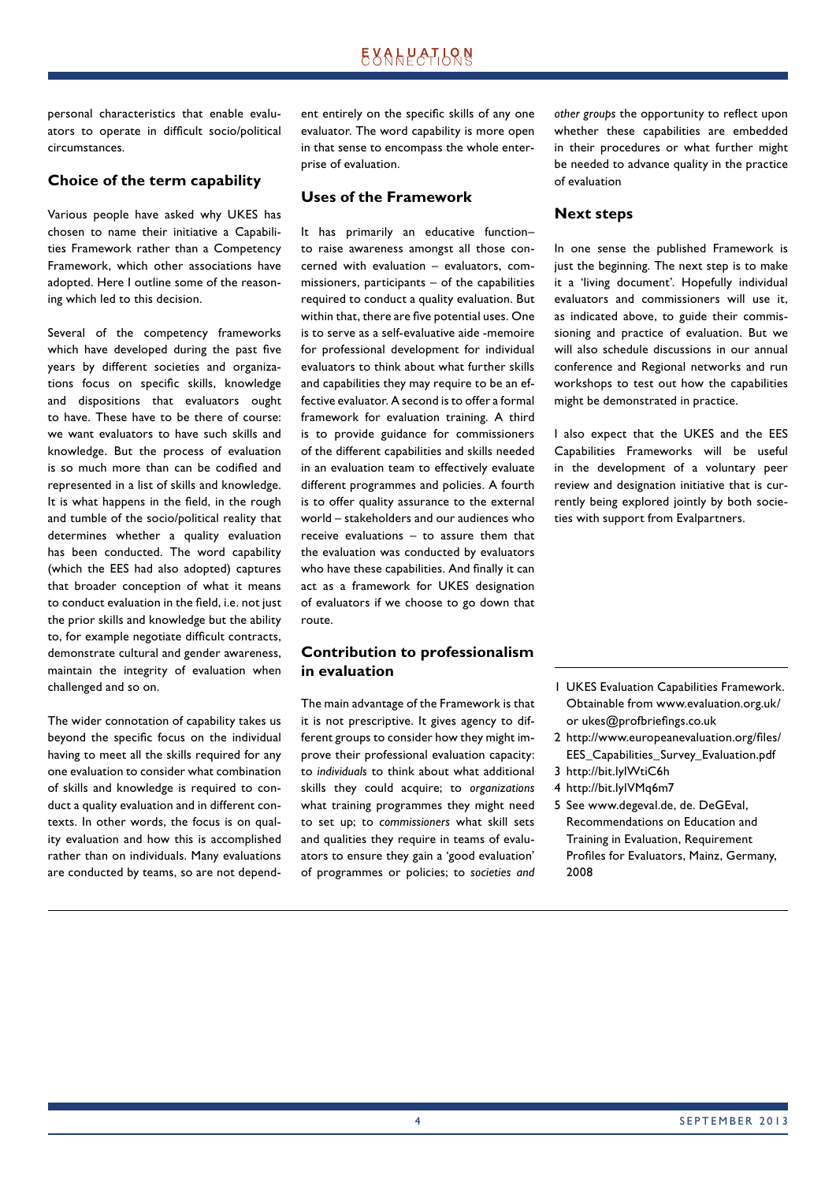personal characteristics that enable evaluators to operate in difficult socio/political circumstances.

## **Choice of the term capability**

Various people have asked why UKES has chosen to name their initiative a Capabilities Framework rather than a Competency Framework, which other associations have adopted. Here I outline some of the reasoning which led to this decision.

Several of the competency frameworks which have developed during the past five years by different societies and organizations focus on specific skills, knowledge and dispositions that evaluators ought to have. These have to be there of course: we want evaluators to have such skills and knowledge. But the process of evaluation is so much more than can be codified and represented in a list of skills and knowledge. It is what happens in the field, in the rough and tumble of the socio/political reality that determines whether a quality evaluation has been conducted. The word capability (which the EES had also adopted) captures that broader conception of what it means to conduct evaluation in the field, i.e. not just the prior skills and knowledge but the ability to, for example negotiate difficult contracts, demonstrate cultural and gender awareness, maintain the integrity of evaluation when challenged and so on.

The wider connotation of capability takes us beyond the specific focus on the individual having to meet all the skills required for any one evaluation to consider what combination of skills and knowledge is required to conduct a quality evaluation and in different contexts. In other words, the focus is on quality evaluation and how this is accomplished rather than on individuals. Many evaluations are conducted by teams, so are not dependent entirely on the specific skills of any one evaluator. The word capability is more open in that sense to encompass the whole enterprise of evaluation.

#### **Uses of the Framework**

It has primarily an educative function– to raise awareness amongst all those concerned with evaluation – evaluators, commissioners, participants – of the capabilities required to conduct a quality evaluation. But within that, there are five potential uses. One is to serve as a self-evaluative aide -memoire for professional development for individual evaluators to think about what further skills and capabilities they may require to be an effective evaluator. A second is to offer a formal framework for evaluation training. A third is to provide guidance for commissioners of the different capabilities and skills needed in an evaluation team to effectively evaluate different programmes and policies. A fourth is to offer quality assurance to the external world – stakeholders and our audiences who receive evaluations – to assure them that the evaluation was conducted by evaluators who have these capabilities. And finally it can act as a framework for UKES designation of evaluators if we choose to go down that route.

## **Contribution to professionalism in evaluation**

The main advantage of the Framework is that it is not prescriptive. It gives agency to different groups to consider how they might improve their professional evaluation capacity: to *individuals* to think about what additional skills they could acquire; to *organizations* what training programmes they might need to set up; to *commissioners* what skill sets and qualities they require in teams of evaluators to ensure they gain a 'good evaluation' of programmes or policies; to *societies and*  other groups the opportunity to reflect upon whether these capabilities are embedded in their procedures or what further might be needed to advance quality in the practice of evaluation

#### **Next steps**

In one sense the published Framework is just the beginning. The next step is to make it a 'living document'. Hopefully individual evaluators and commissioners will use it, as indicated above, to guide their commissioning and practice of evaluation. But we will also schedule discussions in our annual conference and Regional networks and run workshops to test out how the capabilities might be demonstrated in practice.

I also expect that the UKES and the EES Capabilities Frameworks will be useful in the development of a voluntary peer review and designation initiative that is currently being explored jointly by both societies with support from Evalpartners.

- 1 UKES Evaluation Capabilities Framework. Obtainable from www.evaluation.org.uk/ or ukes@profbriefings.co.uk
- 2 http://www.europeanevaluation.org/files/ EES\_Capabilities\_Survey\_Evaluation.pdf
- 3 http://bit.lylWtiC6h
- 4 http://bit.lylVMq6m7
- 5 See www.degeval.de, de. DeGEval, Recom mendations on Education and Training in Evaluation, Requirement Profiles for Evaluators, Mainz, Germany, 2008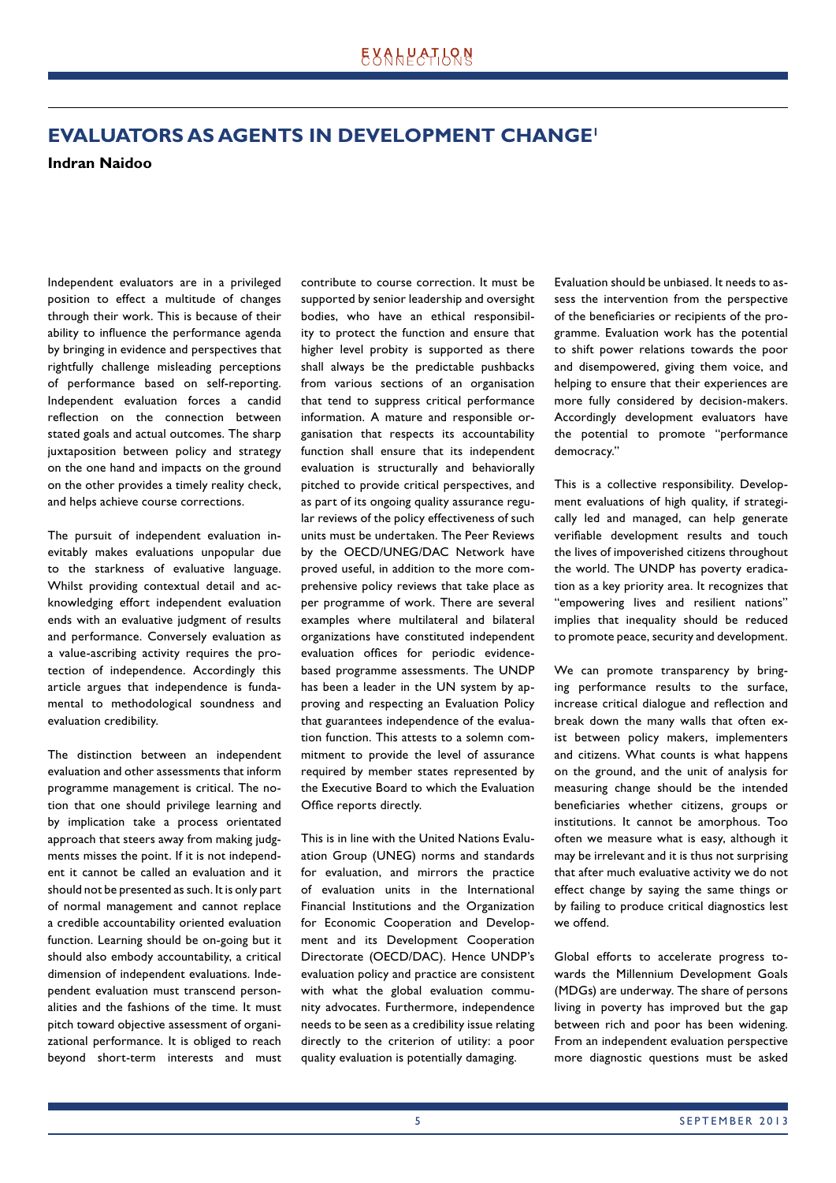# **EVALUATORS AS AGENTS IN DEVELOPMENT CHANGE1**

**Indran Naidoo**

Independent evaluators are in a privileged position to effect a multitude of changes through their work. This is because of their ability to influence the performance agenda by bringing in evidence and perspectives that rightfully challenge misleading perceptions of performance based on self-reporting. Independent evaluation forces a candid reflection on the connection between stated goals and actual outcomes. The sharp juxtaposition between policy and strategy on the one hand and impacts on the ground on the other provides a timely reality check, and helps achieve course corrections.

The pursuit of independent evaluation inevitably makes evaluations unpopular due to the starkness of evaluative language. Whilst providing contextual detail and acknowledging effort independent evaluation ends with an evaluative judgment of results and performance. Conversely evaluation as a value-ascribing activity requires the protection of independence. Accordingly this article argues that independence is fundamental to methodological soundness and evaluation credibility.

The distinction between an independent evaluation and other assessments that inform programme management is critical. The notion that one should privilege learning and by implication take a process orientated approach that steers away from making judgments misses the point. If it is not independent it cannot be called an evaluation and it should not be presented as such. It is only part of normal management and cannot replace a credible accountability oriented evaluation function. Learning should be on-going but it should also embody accountability, a critical dimension of independent evaluations. Independent evaluation must transcend personalities and the fashions of the time. It must pitch toward objective assessment of organizational performance. It is obliged to reach beyond short-term interests and must

contribute to course correction. It must be supported by senior leadership and oversight bodies, who have an ethical responsibility to protect the function and ensure that higher level probity is supported as there shall always be the predictable pushbacks from various sections of an organisation that tend to suppress critical performance information. A mature and responsible organisation that respects its accountability function shall ensure that its independent evaluation is structurally and behaviorally pitched to provide critical perspectives, and as part of its ongoing quality assurance regular reviews of the policy effectiveness of such units must be undertaken. The Peer Reviews by the OECD/UNEG/DAC Network have proved useful, in addition to the more comprehensive policy reviews that take place as per programme of work. There are several examples where multilateral and bilateral organizations have constituted independent evaluation offices for periodic evidencebased programme assessments. The UNDP has been a leader in the UN system by approving and respecting an Evaluation Policy that guarantees independence of the evaluation function. This attests to a solemn commitment to provide the level of assurance required by member states represented by the Executive Board to which the Evaluation Office reports directly.

This is in line with the United Nations Evaluation Group (UNEG) norms and standards for evaluation, and mirrors the practice of evaluation units in the International Financial Institutions and the Organization for Economic Cooperation and Development and its Development Cooperation Directorate (OECD/DAC). Hence UNDP's evaluation policy and practice are consistent with what the global evaluation community advocates. Furthermore, independence needs to be seen as a credibility issue relating directly to the criterion of utility: a poor quality evaluation is potentially damaging.

Evaluation should be unbiased. It needs to assess the intervention from the perspective of the beneficiaries or recipients of the programme. Evaluation work has the potential to shift power relations towards the poor and disempowered, giving them voice, and helping to ensure that their experiences are more fully considered by decision-makers. Accordingly development evaluators have the potential to promote "performance democracy."

This is a collective responsibility. Development evaluations of high quality, if strategically led and managed, can help generate verifiable development results and touch the lives of impoverished citizens throughout the world. The UNDP has poverty eradication as a key priority area. It recognizes that "empowering lives and resilient nations" implies that inequality should be reduced to promote peace, security and development.

We can promote transparency by bringing performance results to the surface, increase critical dialogue and reflection and break down the many walls that often exist between policy makers, implementers and citizens. What counts is what happens on the ground, and the unit of analysis for measuring change should be the intended beneficiaries whether citizens, groups or institutions. It cannot be amorphous. Too often we measure what is easy, although it may be irrelevant and it is thus not surprising that after much evaluative activity we do not effect change by saying the same things or by failing to produce critical diagnostics lest we offend.

Global efforts to accelerate progress towards the Millennium Development Goals (MDGs) are underway. The share of persons living in poverty has improved but the gap between rich and poor has been widening. From an independent evaluation perspective more diagnostic questions must be asked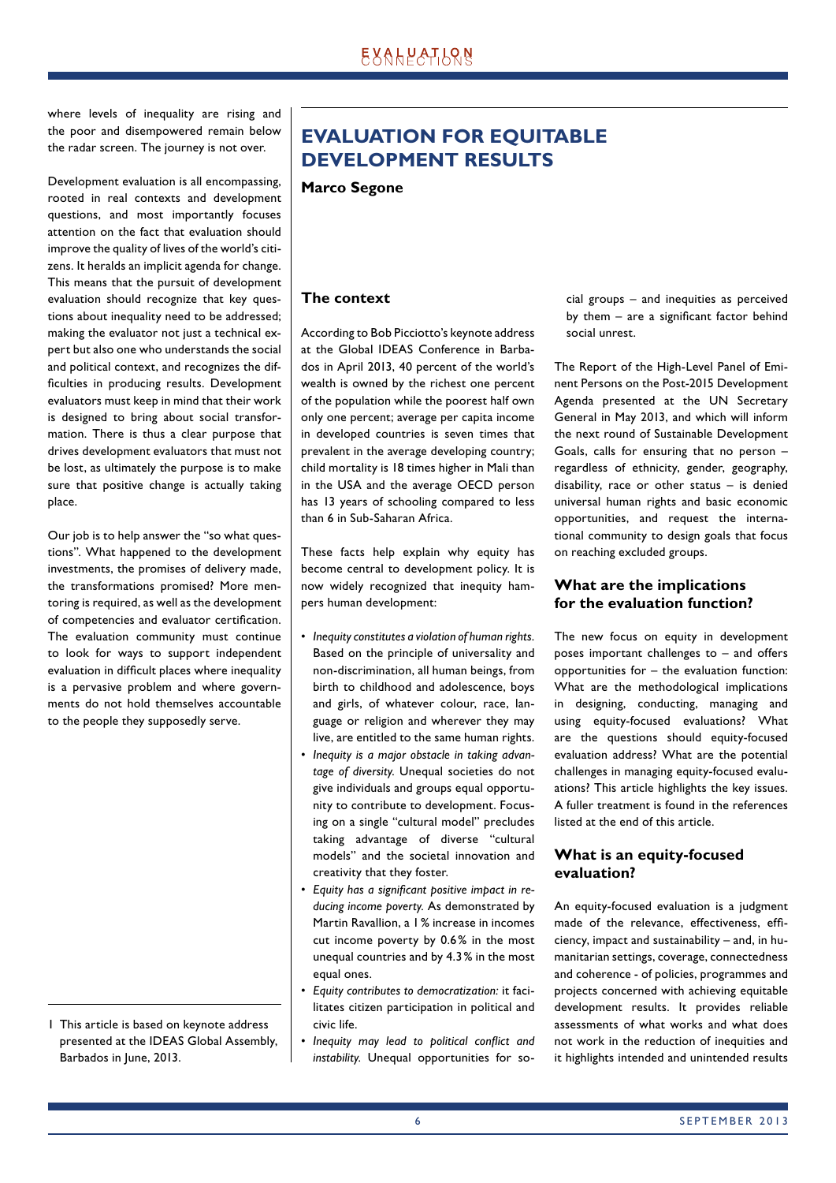where levels of inequality are rising and the poor and disempowered remain below the radar screen. The journey is not over.

Development evaluation is all encompassing, rooted in real contexts and development questions, and most importantly focuses attention on the fact that evaluation should improve the quality of lives of the world's citizens. It heralds an implicit agenda for change. This means that the pursuit of development evaluation should recognize that key questions about inequality need to be addressed; making the evaluator not just a technical expert but also one who understands the social and political context, and recognizes the difficulties in producing results. Development evaluators must keep in mind that their work is designed to bring about social transformation. There is thus a clear purpose that drives development evaluators that must not be lost, as ultimately the purpose is to make sure that positive change is actually taking place.

Our job is to help answer the "so what questions". What happened to the development investments, the promises of delivery made, the transformations promised? More mentoring is required, as well as the development of competencies and evaluator certification. The evaluation community must continue to look for ways to support independent evaluation in difficult places where inequality is a pervasive problem and where governments do not hold themselves accountable to the people they supposedly serve.

1 This article is based on keynote address presented at the IDEAS Global Assembly, Barbados in June, 2013.

# **EVALUATION FOR EQUITABLE DEVELOPMENT RESULTS**

**Marco Segone**

## **The context**

According to Bob Picciotto's keynote address at the Global IDEAS Conference in Barbados in April 2013, 40 percent of the world's wealth is owned by the richest one percent of the population while the poorest half own only one percent; average per capita income in developed countries is seven times that prevalent in the average developing country; child mortality is 18 times higher in Mali than in the USA and the average OECD person has 13 years of schooling compared to less than 6 in Sub-Saharan Africa.

These facts help explain why equity has become central to development policy. It is now widely recognized that inequity hampers human development:

- *Inequity constitutes a violation of human rights.* Based on the principle of universality and non-discrimination, all human beings, from birth to childhood and adolescence, boys and girls, of whatever colour, race, language or religion and wherever they may live, are entitled to the same human rights.
- *Inequity is a major obstacle in taking advantage of diversity.* Unequal societies do not give individuals and groups equal opportunity to contribute to development. Focusing on a single "cultural model" precludes taking advantage of diverse "cultural mo dels" and the societal innovation and creativity that they foster.
- Equity has a significant positive impact in re*ducing income poverty.* As demonstrated by Martin Ravallion, a 1 % increase in incomes cut income poverty by 0.6 % in the most unequal countries and by 4.3 % in the most equal ones.
- *Equity contributes to democratization:* it facilitates citizen participation in political and civic life.
- Inequity may lead to political conflict and *instability.* Unequal opportunities for so-

cial groups – and inequities as perceived by them  $-$  are a significant factor behind social unrest.

The Report of the High-Level Panel of Eminent Persons on the Post-2015 Development Agenda presented at the UN Secretary General in May 2013, and which will inform the next round of Sustainable Development Goals, calls for ensuring that no person – regardless of ethnicity, gender, geography, disability, race or other status – is denied universal human rights and basic economic opportunities, and request the international community to design goals that focus on reaching excluded groups.

## **What are the implications for the evaluation function?**

The new focus on equity in development poses important challenges to – and offers opportunities for – the evaluation function: What are the methodological implications in designing, conducting, managing and using equity-focused evaluations? What are the questions should equity-focused evaluation address? What are the potential challenges in managing equity-focused evaluations? This article highlights the key issues. A fuller treatment is found in the references listed at the end of this article.

## **What is an equity-focused evaluation?**

An equity-focused evaluation is a judgment made of the relevance, effectiveness, efficiency, impact and sustainability – and, in humanitarian settings, coverage, connectedness and coherence - of policies, programmes and projects concerned with achieving equitable development results. It provides reliable assessments of what works and what does not work in the reduction of inequities and it highlights intended and unintended results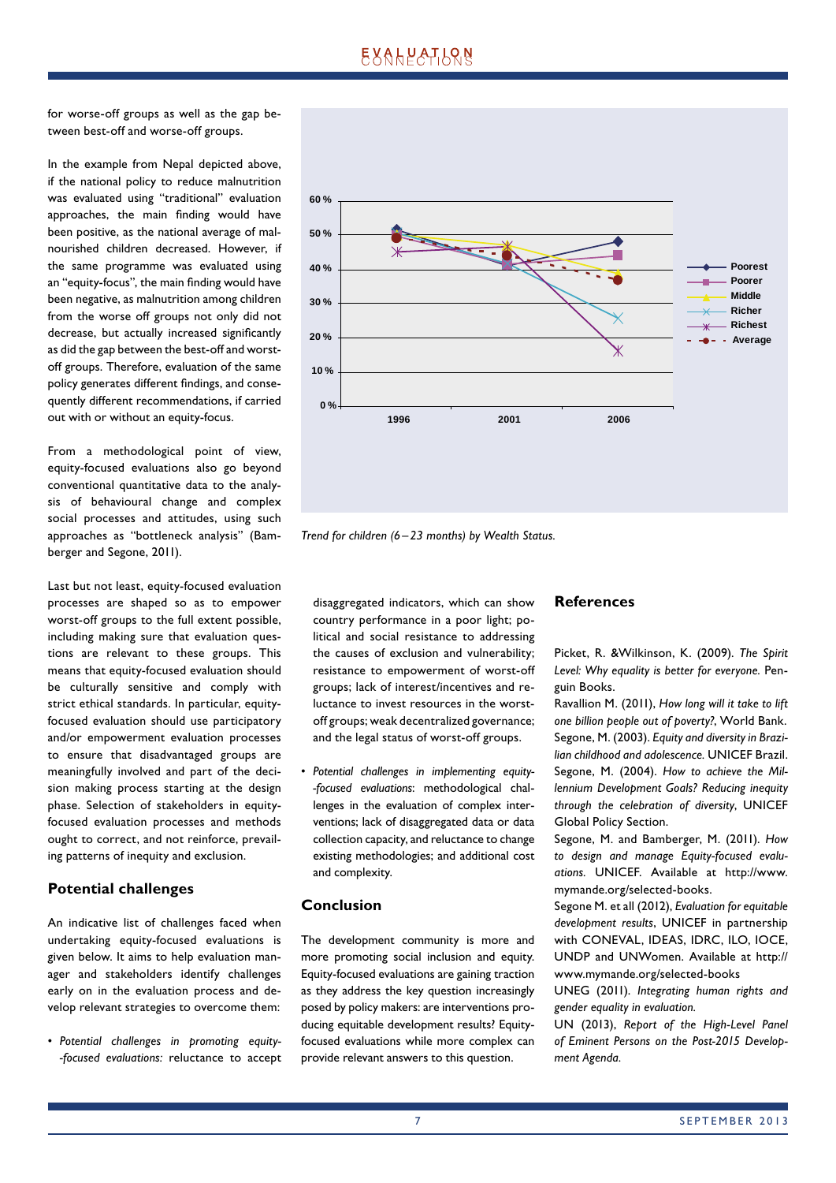for worse-off groups as well as the gap between best-off and worse-off groups.

In the example from Nepal depicted above, if the national policy to reduce malnutrition was evaluated using "traditional" evaluation approaches, the main finding would have been positive, as the national average of malnourished children decreased. However, if the same programme was evaluated using an "equity-focus", the main finding would have been negative, as malnutrition among children from the worse off groups not only did not decrease, but actually increased significantly as did the gap between the best-off and worstoff groups. Therefore, evaluation of the same policy generates different findings, and consequently different recommendations, if carried out with or without an equity-focus.

From a methodological point of view, equity-focused evaluations also go beyond conventional quantitative data to the analysis of behavioural change and complex social processes and attitudes, using such approaches as "bottleneck analysis" (Bamberger and Segone, 2011).

Last but not least, equity-focused evaluation processes are shaped so as to empower worst-off groups to the full extent possible, including making sure that evaluation questions are relevant to these groups. This means that equity-focused evaluation should be culturally sensitive and comply with strict ethical standards. In particular, equityfocused evaluation should use participatory and/or empowerment evaluation processes to ensure that disadvantaged groups are meaningfully involved and part of the decision making process starting at the design phase. Selection of stakeholders in equityfocused evaluation processes and methods ought to correct, and not reinforce, prevailing patterns of inequity and exclusion.

#### **Potential challenges**

An indicative list of challenges faced when undertaking equity-focused evaluations is given below. It aims to help evaluation manager and stakeholders identify challenges early on in the evaluation process and develop relevant strategies to overcome them:

• *Potential challenges in promoting equity- -focused evaluations:* reluctance to accept



*Trend for children (6 – 23 months) by Wealth Status.*

disaggregated indicators, which can show country performance in a poor light; political and social resistance to addressing the causes of exclusion and vulnerability; resistance to empowerment of worst-off groups; lack of interest/incentives and reluctance to invest resources in the worstoff groups; weak decentralized governance; and the legal status of worst-off groups.

• *Potential challenges in implementing equity- -focused evaluations*: methodological challenges in the evaluation of complex interventions; lack of disaggregated data or data collection capacity, and reluctance to change existing methodologies; and additional cost and complexity.

#### **Conclusion**

The development community is more and more promoting social inclusion and equity. Equity-focused evaluations are gaining traction as they address the key question increasingly posed by policy makers: are interventions producing equitable development results? Equityfocused evaluations while more complex can provide relevant answers to this question.

#### **References**

Picket, R. &Wilkinson, K. (2009). *The Spirit Level: Why equality is better for everyone.* Penguin Books.

Ravallion M. (2011), *How long will it take to lift one billion people out of poverty?*, World Bank. Segone, M. (2003). *Equity and diversity in Brazilian childhood and adolescence.* UNICEF Brazil. Segone, M. (2004). *How to achieve the Millennium Development Goals? Reducing inequity through the celebration of diversity*, UNICEF Global Policy Section.

Segone, M. and Bamberger, M. (2011). *How to design and manage Equity-focused evaluations.* UNICEF. Available at http://www. mymande.org/selected-books.

Segone M. et all (2012), *Evaluation for equitable development results*, UNICEF in partnership with CONEVAL, IDEAS, IDRC, ILO, IOCE, UNDP and UNWomen. Available at http:// www.mymande.org/selected-books

UNEG (2011). *Integrating human rights and gender equality in evaluation.*

UN (2013), *Report of the High-Level Panel of Eminent Persons on the Post-2015 Development Agenda.*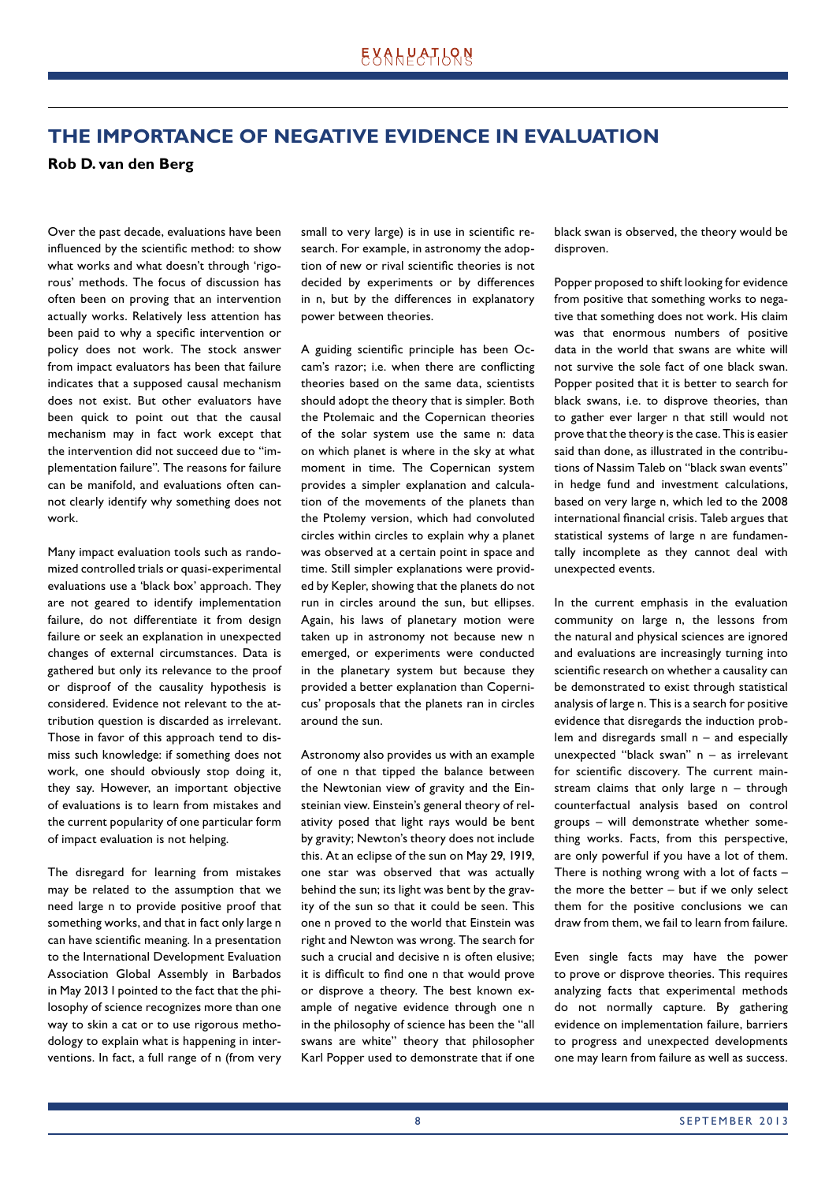# **THE IMPORTANCE OF NEGATIVE EVIDENCE IN EVALUATION**

#### **Rob D. van den Berg**

Over the past decade, evaluations have been influenced by the scientific method: to show what works and what doesn't through 'rigorous' methods. The focus of discussion has often been on proving that an intervention actually works. Relatively less attention has been paid to why a specific intervention or policy does not work. The stock answer from impact evaluators has been that failure indicates that a supposed causal mechanism does not exist. But other evaluators have been quick to point out that the causal mechanism may in fact work except that the intervention did not succeed due to "implementation failure". The reasons for failure can be manifold, and evaluations often cannot clearly identify why something does not work.

Many impact evaluation tools such as randomized controlled trials or quasi-experimental evaluations use a 'black box' approach. They are not geared to identify implementation failure, do not differentiate it from design failure or seek an explanation in unexpected changes of external circumstances. Data is gathered but only its relevance to the proof or disproof of the causality hypothesis is considered. Evidence not relevant to the attribution question is discarded as irrelevant. Those in favor of this approach tend to dismiss such knowledge: if something does not work, one should obviously stop doing it, they say. However, an important objective of evaluations is to learn from mistakes and the current popularity of one particular form of impact evaluation is not helping.

The disregard for learning from mistakes may be related to the assumption that we need large n to provide positive proof that something works, and that in fact only large n can have scientific meaning. In a presentation to the International Development Evaluation Association Global Assembly in Barbados in May 2013 I pointed to the fact that the philosophy of science recognizes more than one way to skin a cat or to use rigorous methodology to explain what is happening in interventions. In fact, a full range of n (from very small to very large) is in use in scientific research. For example, in astronomy the adoption of new or rival scientific theories is not decided by experiments or by differences in n, but by the differences in explanatory power between theories.

A guiding scientific principle has been Occam's razor; i.e. when there are conflicting theories based on the same data, scientists should adopt the theory that is simpler. Both the Ptolemaic and the Copernican theories of the solar system use the same n: data on which planet is where in the sky at what moment in time. The Copernican system provides a simpler explanation and calculation of the movements of the planets than the Ptolemy version, which had convoluted circles within circles to explain why a planet was observed at a certain point in space and time. Still simpler explanations were provided by Kepler, showing that the planets do not run in circles around the sun, but ellipses. Again, his laws of planetary motion were taken up in astronomy not because new n emerged, or experiments were conducted in the planetary system but because they provided a better explanation than Copernicus' proposals that the planets ran in circles around the sun.

Astronomy also provides us with an example of one n that tipped the balance between the Newtonian view of gravity and the Einsteinian view. Einstein's general theory of relativity posed that light rays would be bent by gravity; Newton's theory does not include this. At an eclipse of the sun on May 29, 1919, one star was observed that was actually behind the sun; its light was bent by the gravity of the sun so that it could be seen. This one n proved to the world that Einstein was right and Newton was wrong. The search for such a crucial and decisive n is often elusive; it is difficult to find one n that would prove or disprove a theory. The best known example of negative evidence through one n in the philosophy of science has been the "all swans are white" theory that philosopher Karl Popper used to demonstrate that if one black swan is observed, the theory would be disproven.

Popper proposed to shift looking for evidence from positive that something works to negative that something does not work. His claim was that enormous numbers of positive data in the world that swans are white will not survive the sole fact of one black swan. Popper posited that it is better to search for black swans, i.e. to disprove theories, than to gather ever larger n that still would not prove that the theory is the case. This is easier said than done, as illustrated in the contributions of Nassim Taleb on "black swan events" in hedge fund and investment calculations, based on very large n, which led to the 2008 international financial crisis. Taleb argues that statistical systems of large n are fundamentally incomplete as they cannot deal with unexpected events.

In the current emphasis in the evaluation community on large n, the lessons from the natural and physical sciences are ignored and evaluations are increasingly turning into scientific research on whether a causality can be demonstrated to exist through statistical analysis of large n. This is a search for positive evidence that disregards the induction problem and disregards small n – and especially unexpected "black swan" n – as irrelevant for scientific discovery. The current mainstream claims that only large n – through counterfactual analysis based on control groups – will demonstrate whether something works. Facts, from this perspective, are only powerful if you have a lot of them. There is nothing wrong with a lot of facts  $$ the more the better – but if we only select them for the positive conclusions we can draw from them, we fail to learn from failure.

Even single facts may have the power to prove or disprove theories. This requires analyzing facts that experimental methods do not normally capture. By gathering evidence on implementation failure, barriers to progress and unexpected developments one may learn from failure as well as success.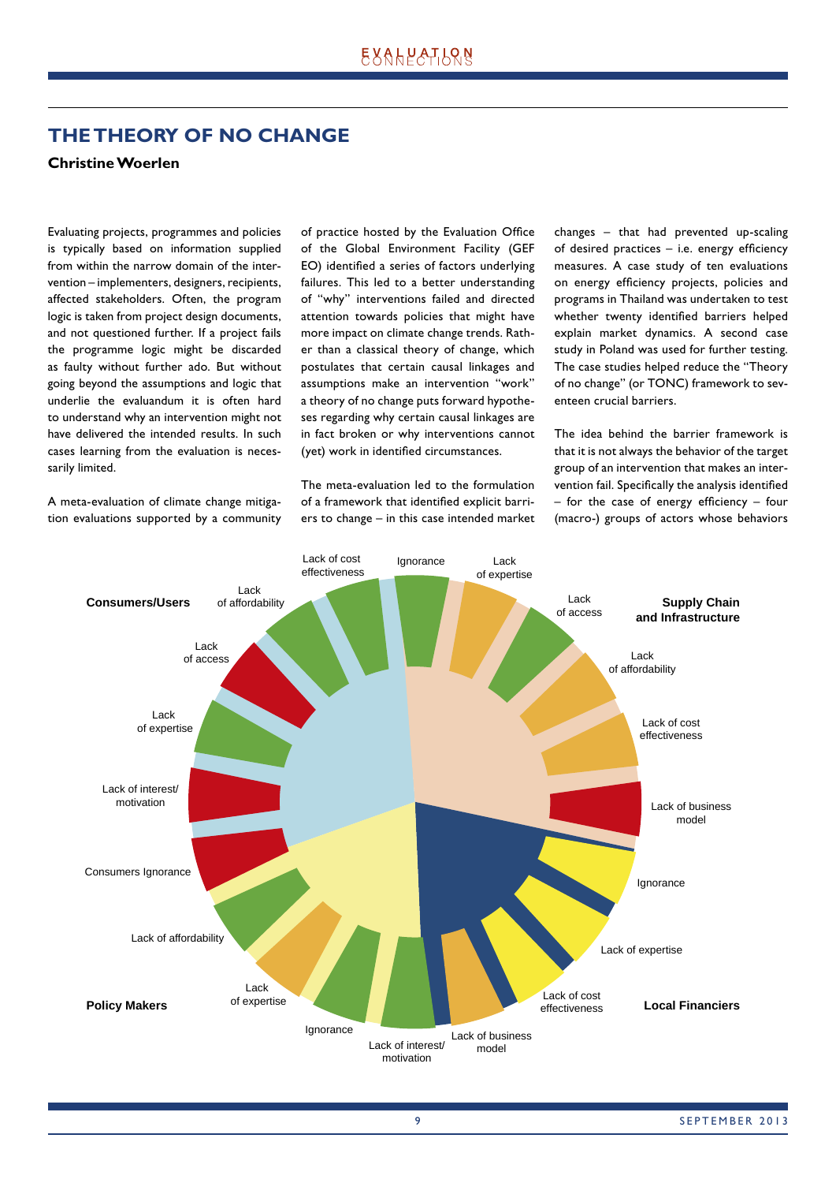# **THE THEORY OF NO CHANGE**

## **Christine Woerlen**

Evaluating projects, programmes and policies is typically based on information supplied from within the narrow domain of the intervention – implementers, designers, recipients, affected stakeholders. Often, the program logic is taken from project design documents, and not questioned further. If a project fails the programme logic might be discarded as faulty without further ado. But without going beyond the assumptions and logic that underlie the evaluandum it is often hard to understand why an intervention might not have delivered the intended results. In such cases learning from the evaluation is necessarily limited.

A meta-evaluation of climate change mitigation evaluations supported by a community of practice hosted by the Evaluation Office of the Global Environment Facility (GEF EO) identified a series of factors underlying failures. This led to a better understanding of "why" interventions failed and directed attention towards policies that might have more impact on climate change trends. Rather than a classical theory of change, which postulates that certain causal linkages and assumptions make an intervention "work" a theory of no change puts forward hypotheses regarding why certain causal linkages are in fact broken or why interventions cannot (yet) work in identified circumstances.

The meta-evaluation led to the formulation of a framework that identified explicit barriers to change – in this case intended market changes – that had prevented up-scaling of desired practices  $-$  i.e. energy efficiency measures. A case study of ten evaluations on energy efficiency projects, policies and programs in Thailand was undertaken to test whether twenty identified barriers helped explain market dynamics. A second case study in Poland was used for further testing. The case studies helped reduce the "Theory of no change" (or TONC) framework to seventeen crucial barriers.

The idea behind the barrier framework is that it is not always the behavior of the target group of an intervention that makes an intervention fail. Specifically the analysis identified  $-$  for the case of energy efficiency  $-$  four (macro-) groups of actors whose behaviors

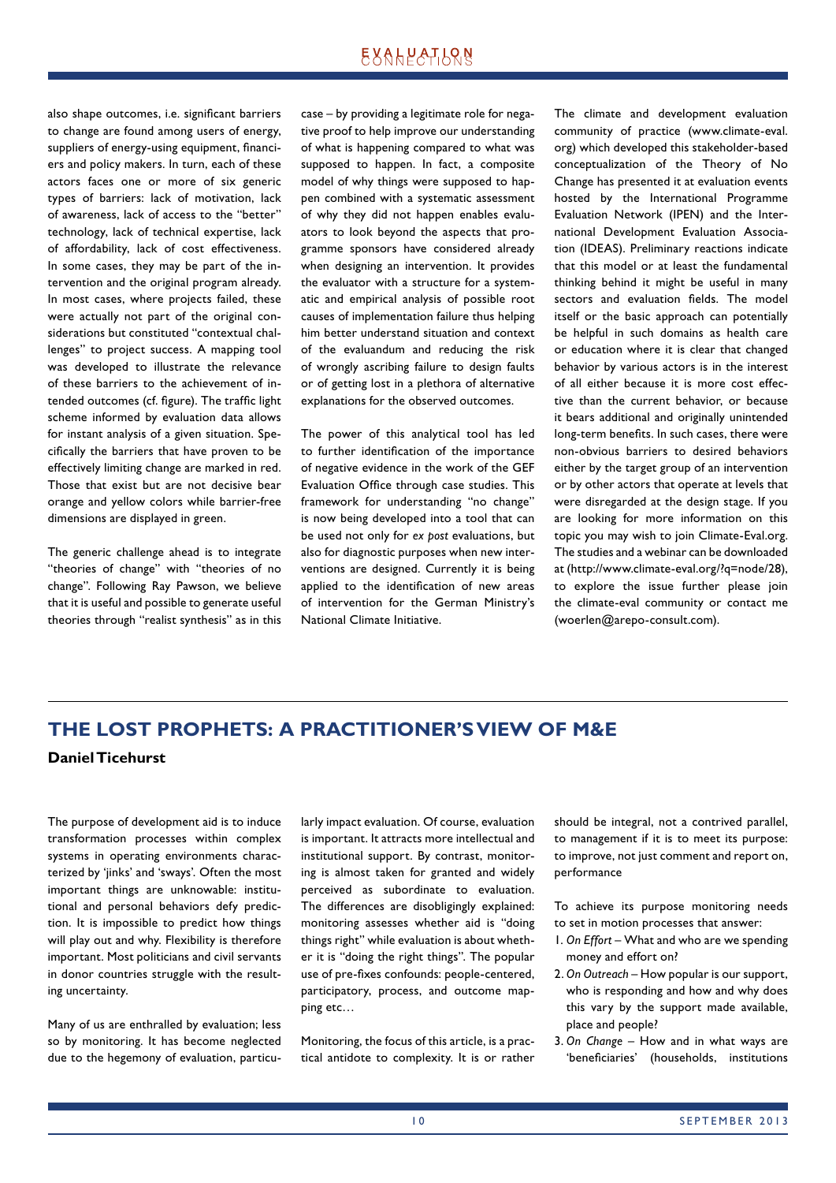# **EXALPATLQN**

also shape outcomes, i.e. significant barriers to change are found among users of energy, suppliers of energy-using equipment, financiers and policy makers. In turn, each of these actors faces one or more of six generic types of barriers: lack of motivation, lack of awareness, lack of access to the "better" technology, lack of technical expertise, lack of affordability, lack of cost effectiveness. In some cases, they may be part of the intervention and the original program already. In most cases, where projects failed, these were actually not part of the original considerations but constituted "contextual challenges" to project success. A mapping tool was developed to illustrate the relevance of these barriers to the achievement of intended outcomes (cf. figure). The traffic light scheme informed by evaluation data allows for instant analysis of a given situation. Specifically the barriers that have proven to be effectively limiting change are marked in red. Those that exist but are not decisive bear orange and yellow colors while barrier-free dimensions are displayed in green.

The generic challenge ahead is to integrate "theories of change" with "theories of no change". Following Ray Pawson, we believe that it is useful and possible to generate useful theories through "realist synthesis" as in this case – by providing a legitimate role for negative proof to help improve our understanding of what is happening compared to what was supposed to happen. In fact, a composite model of why things were supposed to happen combined with a systematic assessment of why they did not happen enables evaluators to look beyond the aspects that programme sponsors have considered already when designing an intervention. It provides the evaluator with a structure for a systematic and empirical analysis of possible root causes of implementation failure thus helping him better understand situation and context of the evaluandum and reducing the risk of wrongly ascribing failure to design faults or of getting lost in a plethora of alternative explanations for the observed outcomes.

The power of this analytical tool has led to further identification of the importance of negative evidence in the work of the GEF Evaluation Office through case studies. This framework for understanding "no change" is now being developed into a tool that can be used not only for *ex post* evaluations, but also for diagnostic purposes when new interventions are designed. Currently it is being applied to the identification of new areas of intervention for the German Ministry's National Climate Initiative.

The climate and development evaluation community of practice (www.climate-eval. org) which developed this stakeholder-based conceptualization of the Theory of No Change has presented it at evaluation events hosted by the International Programme Evaluation Network (IPEN) and the International Development Evaluation Association (IDEAS). Preliminary reactions indicate that this model or at least the fundamental thinking behind it might be useful in many sectors and evaluation fields. The model itself or the basic approach can potentially be helpful in such domains as health care or education where it is clear that changed behavior by various actors is in the interest of all either because it is more cost effective than the current behavior, or because it bears additional and originally unintended long-term benefits. In such cases, there were non-obvious barriers to desired behaviors either by the target group of an intervention or by other actors that operate at levels that were disregarded at the design stage. If you are looking for more information on this topic you may wish to join Climate-Eval.org. The studies and a webinar can be downloaded at (http://www.climate-eval.org/?q=node/28), to explore the issue further please join the climate-eval community or contact me (woerlen@arepo-consult.com).

# **THE LOST PROPHETS: A PRACTITIONER'S VIEW OF M&E**

#### **Daniel Ticehurst**

The purpose of development aid is to induce transformation processes within complex systems in operating environments characterized by 'jinks' and 'sways'. Often the most important things are unknowable: institutional and personal behaviors defy prediction. It is impossible to predict how things will play out and why. Flexibility is therefore important. Most politicians and civil servants in donor countries struggle with the resulting uncertainty.

Many of us are enthralled by evaluation; less so by monitoring. It has become neglected due to the hegemony of evaluation, particularly impact evaluation. Of course, evaluation is important. It attracts more intellectual and institutional support. By contrast, monitoring is almost taken for granted and widely perceived as subordinate to evaluation. The differences are disobligingly explained: monitoring assesses whether aid is "doing things right" while evaluation is about whether it is "doing the right things". The popular use of pre-fixes confounds: people-centered, participatory, process, and outcome mapping etc…

Monitoring, the focus of this article, is a practical antidote to complexity. It is or rather should be integral, not a contrived parallel, to management if it is to meet its purpose: to improve, not just comment and report on, performance

To achieve its purpose monitoring needs to set in motion processes that answer:

- 1. *On Effort* What and who are we spending money and effort on?
- 2. *On Outreach* How popular is our support, who is responding and how and why does this vary by the support made available, place and people?
- 3. *On Change* How and in what ways are 'beneficiaries' (households, institutions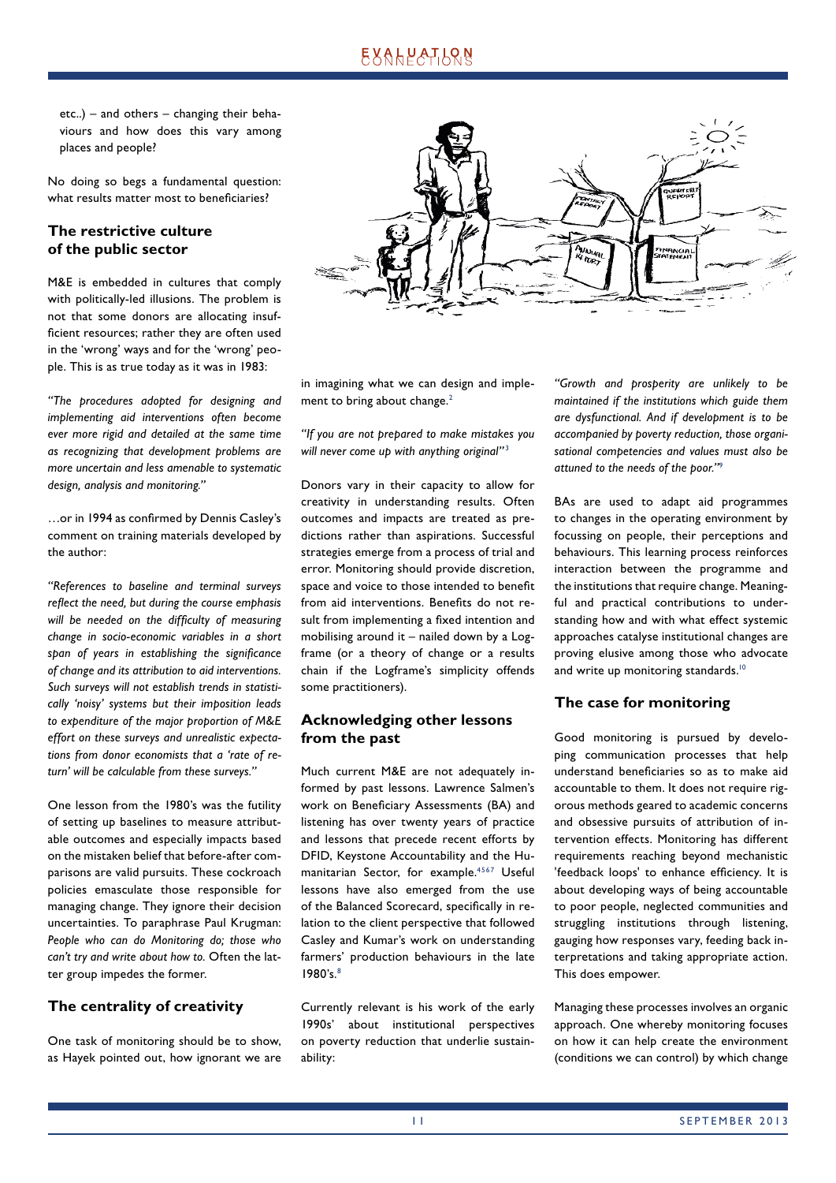etc..) – and others – changing their behaviours and how does this vary among places and people?

No doing so begs a fundamental question: what results matter most to beneficiaries?

## **The restrictive culture of the public sector**

M&E is embedded in cultures that comply with politically-led illusions. The problem is not that some donors are allocating insufficient resources; rather they are often used in the 'wrong' ways and for the 'wrong' people. This is as true today as it was in 1983:

*"The procedures adopted for designing and implementing aid interventions often become ever more rigid and detailed at the same time as recognizing that development problems are more uncertain and less amenable to systematic design, analysis and monitoring."* 

...or in 1994 as confirmed by Dennis Casley's comment on training materials developed by the author:

*"References to baseline and terminal surveys refl ect the need, but during the course emphasis*  will be needed on the difficulty of measuring *change in socio-economic variables in a short*  span of years in establishing the significance *of change and its attribution to aid interventions. Such surveys will not establish trends in statistically 'noisy' systems but their imposition leads to expenditure of the major proportion of M&E effort on these surveys and unrealistic expectations from donor economists that a 'rate of return' will be calculable from these surveys."* 

One lesson from the 1980's was the futility of setting up baselines to measure attributable outcomes and especially impacts based on the mistaken belief that before-after comparisons are valid pursuits. These cockroach policies emasculate those responsible for managing change. They ignore their decision uncertainties. To paraphrase Paul Krugman: *People who can do Monitoring do; those who can't try and write about how to.* Often the latter group impedes the former.

## **The centrality of creativity**

One task of monitoring should be to show, as Hayek pointed out, how ignorant we are



in imagining what we can design and implement to bring about change.<sup>2</sup>

*"If you are not prepared to make mistakes you will never come up with anything original"* <sup>3</sup>

Donors vary in their capacity to allow for creativity in understanding results. Often outcomes and impacts are treated as predictions rather than aspirations. Successful strategies emerge from a process of trial and error. Monitoring should provide discretion, space and voice to those intended to benefit from aid interventions. Benefits do not result from implementing a fixed intention and mobilising around it – nailed down by a Logframe (or a theory of change or a results chain if the Logframe's simplicity offends some practitioners).

## **Acknowledging other lessons from the past**

Much current M&E are not adequately informed by past lessons. Lawrence Salmen's work on Beneficiary Assessments (BA) and listening has over twenty years of practice and lessons that precede recent efforts by DFID, Keystone Accountability and the Humanitarian Sector, for example.<sup>4567</sup> Useful lessons have also emerged from the use of the Balanced Scorecard, specifically in relation to the client perspective that followed Casley and Kumar's work on understanding farmers' production behaviours in the late 1980's.8

Currently relevant is his work of the early 1990s' about institutional perspectives on poverty reduction that underlie sustainability:

*"Growth and prosperity are unlikely to be maintained if the institutions which guide them are dysfunctional. And if development is to be accompanied by poverty reduction, those organisational competencies and values must also be attuned to the needs of the poor."*<sup>9</sup>

BAs are used to adapt aid programmes to changes in the operating environment by focussing on people, their perceptions and behaviours. This learning process reinforces interaction between the programme and the institutions that require change. Meaningful and practical contributions to understanding how and with what effect systemic approaches catalyse institutional changes are proving elusive among those who advocate and write up monitoring standards.<sup>10</sup>

## **The case for monitoring**

Good monitoring is pursued by developing communication processes that help understand beneficiaries so as to make aid accountable to them. It does not require rigorous methods geared to academic concerns and obsessive pursuits of attribution of intervention effects. Monitoring has different requirements reaching beyond mechanistic 'feedback loops' to enhance efficiency. It is about developing ways of being accountable to poor people, neglected communities and struggling institutions through listening, gauging how responses vary, feeding back interpretations and taking appropriate action. This does empower.

Managing these processes involves an organic approach. One whereby monitoring focuses on how it can help create the environment (conditions we can control) by which change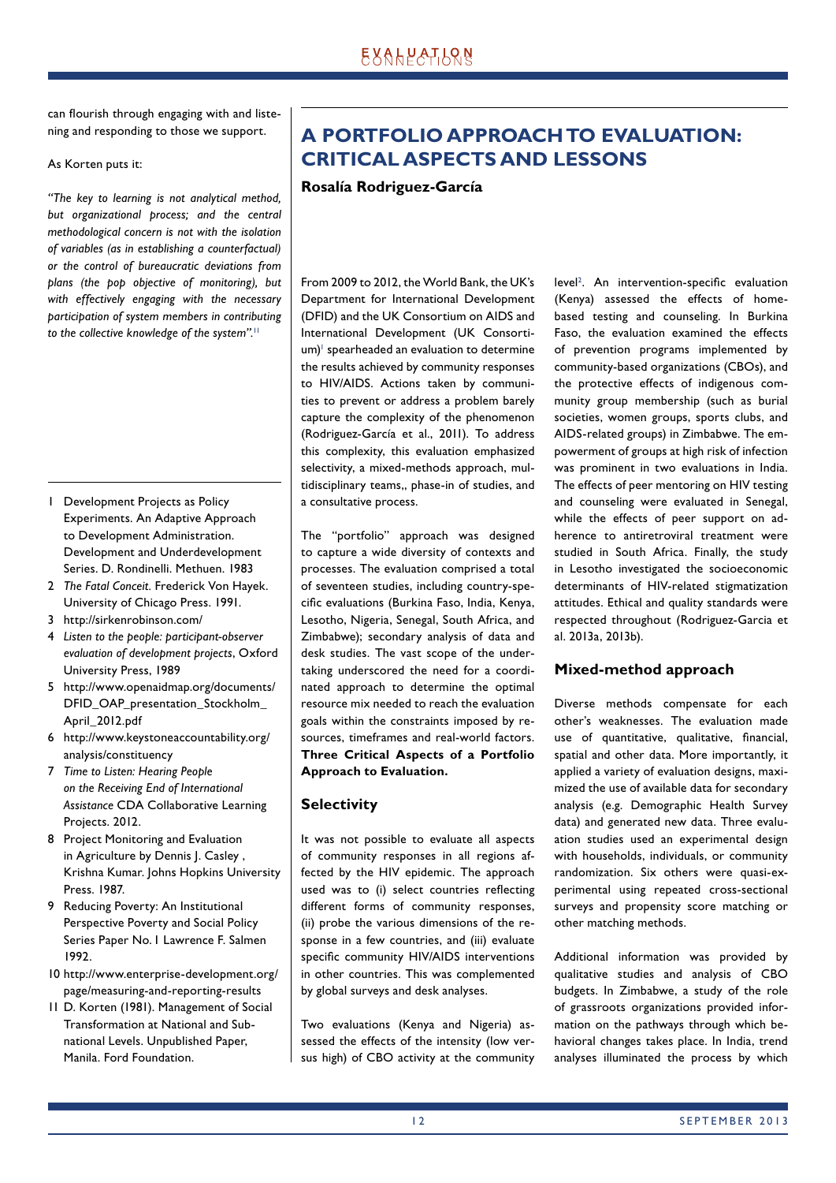can flourish through engaging with and listening and responding to those we support.

As Korten puts it:

*"The key to learning is not analytical method, but organizational process; and the central methodological concern is not with the isolation of variables (as in establishing a counterfactual) or the control of bureaucratic deviations from plans (the pop objective of monitoring), but with effectively engaging with the necessary participation of system members in contributing to the collective knowledge of the system".*<sup>11</sup>

- 1 Development Projects as Policy Experiments. An Adaptive Approach to Development Administration. Development and Underdevelopment Series. D. Rondinelli. Methuen. 1983
- 2 *The Fatal Conceit.* Frederick Von Hayek. University of Chicago Press. 1991.
- 3 http://sirkenrobinson.com/
- 4 *Listen to the people: participant-observer evaluation of development projects*, Oxford University Press, 1989
- 5 http://www.openaidmap.org/documents/ DFID\_OAP\_presentation\_Stockholm\_ April\_2012.pdf
- 6 http://www.keystoneaccountability.org/ analysis/constituency
- 7 *Time to Listen: Hearing People on the Receiving End of International Assistance* CDA Collaborative Learning Projects. 2012.
- 8 Project Monitoring and Evaluation in Agriculture by Dennis I. Casley, Krishna Kumar. Johns Hopkins University Press. 1987.
- 9 Reducing Poverty: An Institutional Perspective Poverty and Social Policy Series Paper No. 1 Lawrence F. Salmen 1992.
- 10 http://www.enterprise-development.org/ page/measuring-and-reporting-results
- 11 D. Korten (1981). Management of Social Transformation at National and Subnational Levels. Unpublished Paper, Manila. Ford Foundation.

# **A PORTFOLIO APPROACH TO EVALUATION: CRITICAL ASPECTS AND LESSONS**

#### **Rosalía Rodriguez-García**

From 2009 to 2012, the World Bank, the UK's Department for International Development (DFID) and the UK Consortium on AIDS and International Development (UK Consorti $um$ <sup> $\pm$ </sup> spearheaded an evaluation to determine the results achieved by community responses to HIV/AIDS. Actions taken by communities to prevent or address a problem barely capture the complexity of the phenomenon (Rodriguez-García et al., 2011). To address this complexity, this evaluation emphasized selectivity, a mixed-methods approach, multidisciplinary teams,, phase-in of studies, and a consultative process.

The "portfolio" approach was designed to capture a wide diversity of contexts and processes. The evaluation comprised a total of seventeen studies, including country-specific evaluations (Burkina Faso, India, Kenya, Lesotho, Nigeria, Senegal, South Africa, and Zimbabwe); secondary analysis of data and desk studies. The vast scope of the undertaking underscored the need for a coordinated approach to determine the optimal resource mix needed to reach the evaluation goals within the constraints imposed by resources, timeframes and real-world factors. **Three Critical Aspects of a Portfolio Approach to Evaluation.**

## **Selectivity**

It was not possible to evaluate all aspects of community responses in all regions affected by the HIV epidemic. The approach used was to (i) select countries reflecting different forms of community responses, (ii) probe the various dimensions of the response in a few countries, and (iii) evaluate specific community HIV/AIDS interventions in other countries. This was complemented by global surveys and desk analyses.

Two evaluations (Kenya and Nigeria) assessed the effects of the intensity (low versus high) of CBO activity at the community level<sup>2</sup>. An intervention-specific evaluation (Kenya) assessed the effects of homebased testing and counseling. In Burkina Faso, the evaluation examined the effects of prevention programs implemented by community-based organizations (CBOs), and the protective effects of indigenous community group membership (such as burial societies, women groups, sports clubs, and AIDS-related groups) in Zimbabwe. The empowerment of groups at high risk of infection was prominent in two evaluations in India. The effects of peer mentoring on HIV testing and counseling were evaluated in Senegal, while the effects of peer support on adherence to antiretroviral treatment were studied in South Africa. Finally, the study in Lesotho investigated the socioeconomic determinants of HIV-related stigmatization attitudes. Ethical and quality standards were respected throughout (Rodriguez-Garcia et al. 2013a, 2013b).

## **Mixed-method approach**

Diverse methods compensate for each other's weaknesses. The evaluation made use of quantitative, qualitative, financial, spatial and other data. More importantly, it applied a variety of evaluation designs, maximized the use of available data for secondary analysis (e.g. Demographic Health Survey data) and generated new data. Three evaluation studies used an experimental design with households, individuals, or community randomization. Six others were quasi-experimental using repeated cross-sectional surveys and propensity score matching or other matching methods.

Additional information was provided by qualitative studies and analysis of CBO budgets. In Zimbabwe, a study of the role of grassroots organizations provided information on the pathways through which behavioral changes takes place. In India, trend analyses illuminated the process by which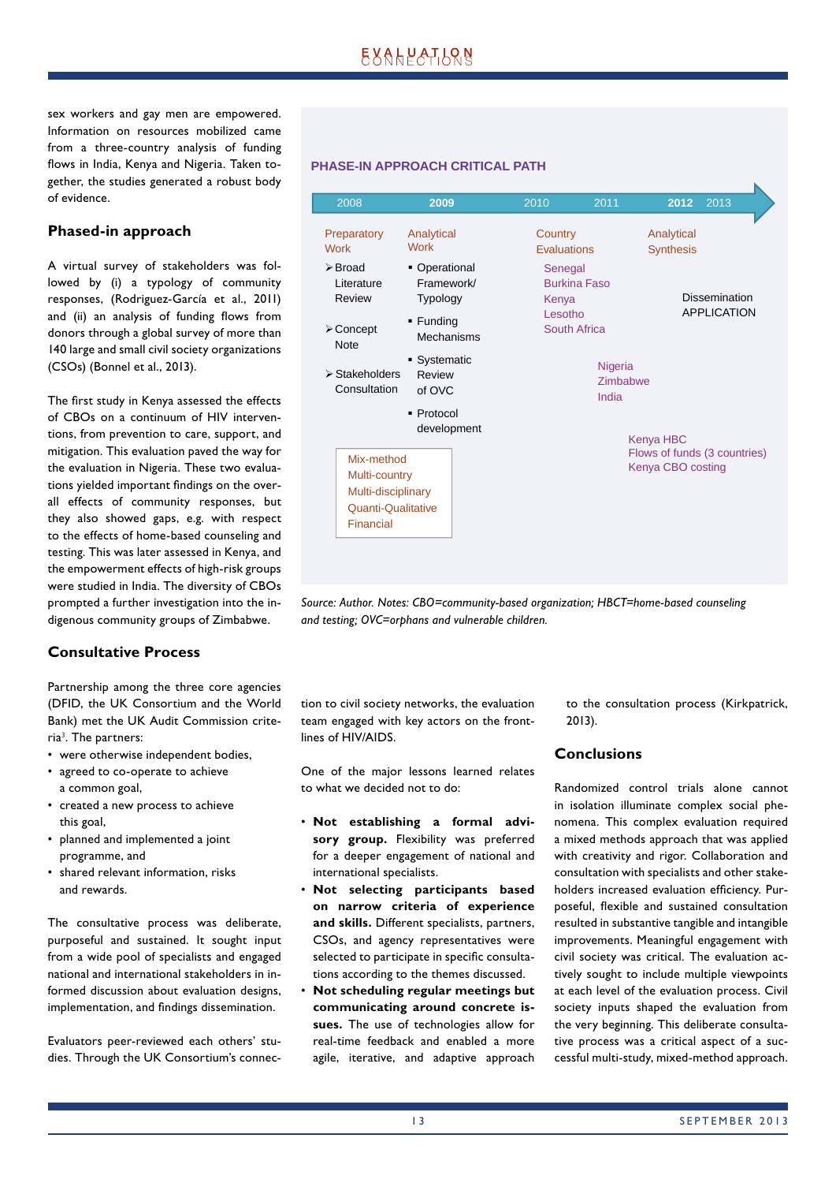sex workers and gay men are empowered. Information on resources mobilized came from a three-country analysis of funding flows in India, Kenya and Nigeria. Taken together, the studies generated a robust body of evidence.

## **Phased-in approach**

A virtual survey of stakeholders was followed by (i) a typology of community responses, (Rodriguez-García et al., 2011) and (ii) an analysis of funding flows from donors through a global survey of more than 140 large and small civil society organizations (CSOs) (Bonnel et al., 2013).

The first study in Kenya assessed the effects of CBOs on a continuum of HIV interventions, from prevention to care, support, and mitigation. This evaluation paved the way for the evaluation in Nigeria. These two evaluations yielded important findings on the overall effects of community responses, but they also showed gaps, e.g. with respect to the effects of home-based counseling and testing. This was later assessed in Kenya, and the empowerment effects of high-risk groups were studied in India. The diversity of CBOs prompted a further investigation into the indigenous community groups of Zimbabwe.

## **Consultative Process**

Partnership among the three core agencies (DFID, the UK Consortium and the World Bank) met the UK Audit Commission criteria<sup>3</sup>. The partners:

- were otherwise independent bodies,
- agreed to co-operate to achieve a common goal,
- created a new process to achieve this goal,
- planned and implemented a joint programme, and
- shared relevant information, risks and rewards.

The consultative process was deliberate, purposeful and sustained. It sought input from a wide pool of specialists and engaged national and international stakeholders in informed discussion about evaluation designs, implementation, and findings dissemination.

Evaluators peer-reviewed each others' studies. Through the UK Consortium's connec-



*Source: Author. Notes: CBO=community-based organization; HBCT=home-based counseling and testing; OVC=orphans and vulnerable children.*

tion to civil society networks, the evaluation team engaged with key actors on the frontlines of HIV/AIDS.

One of the major lessons learned relates to what we decided not to do:

- **Not establishing a formal advisory group.** Flexibility was preferred for a deeper engagement of national and international specialists.
- **Not selecting participants based on narrow criteria of experience and skills.** Different specialists, partners, CSOs, and agency representatives were selected to participate in specific consultations according to the themes discussed.
- **Not scheduling regular meetings but communicating around concrete issues.** The use of technologies allow for real-time feedback and enabled a more agile, iterative, and adaptive approach

to the consultation process (Kirkpatrick, 2013).

## **Conclusions**

Randomized control trials alone cannot in isolation illuminate complex social phenomena. This complex evaluation required a mixed methods approach that was applied with creativity and rigor. Collaboration and consultation with specialists and other stakeholders increased evaluation efficiency. Purposeful, flexible and sustained consultation resulted in substantive tangible and intangible improvements. Meaningful engagement with civil society was critical. The evaluation actively sought to include multiple viewpoints at each level of the evaluation process. Civil society inputs shaped the evaluation from the very beginning. This deliberate consultative process was a critical aspect of a successful multi-study, mixed-method approach.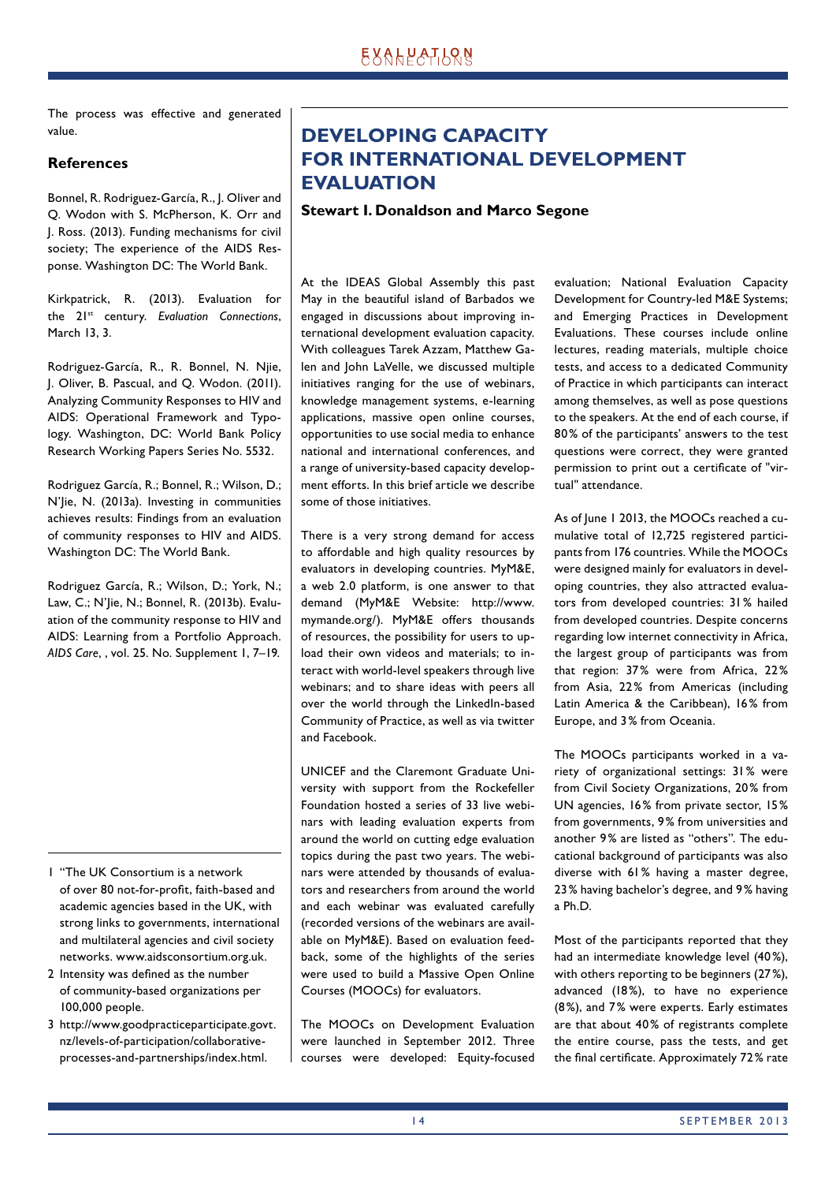The process was effective and generated value.

#### **References**

Bonnel, R. Rodriguez-García, R., J. Oliver and Q. Wodon with S. McPherson, K. Orr and J. Ross. (2013). Funding mechanisms for civil society; The experience of the AIDS Response. Washington DC: The World Bank.

Kirkpatrick, R. (2013). Evaluation for the 21st century. *Evaluation Connections*, March 13, 3.

Rodriguez-García, R., R. Bonnel, N. Njie, J. Oliver, B. Pascual, and Q. Wodon. (2011). Analyzing Community Responses to HIV and AIDS: Operational Framework and Typology. Washington, DC: World Bank Policy Research Working Papers Series No. 5532.

Rodriguez García, R.; Bonnel, R.; Wilson, D.; N'Jie, N. (2013a). Investing in communities achieves results: Findings from an evaluation of community responses to HIV and AIDS. Washington DC: The World Bank.

Rodriguez García, R.; Wilson, D.; York, N.; Law, C.; N'Jie, N.; Bonnel, R. (2013b). Evaluation of the community response to HIV and AIDS: Learning from a Portfolio Approach. *AIDS Care*, , vol. 25. No. Supplement 1, 7–19.

- 1 "The UK Consortium is a network of over 80 not-for-profit, faith-based and academic agencies based in the UK, with strong links to governments, international and multilateral agencies and civil society networks. www.aidsconsortium.org.uk.
- 2 Intensity was defined as the number of community-based organizations per 100,000 people.
- 3 http://www.goodpracticeparticipate.govt. nz/levels-of-participation/collaborativeprocesses-and-partnerships/index.html.

# **DEVELOPING CAPACITY FOR INTERNATIONAL DEVELOPMENT EVALUATION**

#### **Stewart I. Donaldson and Marco Segone**

At the IDEAS Global Assembly this past May in the beautiful island of Barbados we engaged in discussions about improving international development evaluation capacity. With colleagues Tarek Azzam, Matthew Galen and John LaVelle, we discussed multiple initiatives ranging for the use of webinars, knowledge management systems, e-learning applications, massive open online courses, opportunities to use social media to enhance national and international conferences, and a range of university-based capacity development efforts. In this brief article we describe some of those initiatives.

There is a very strong demand for access to affordable and high quality resources by evaluators in developing countries. MyM&E, a web 2.0 platform, is one answer to that demand (MyM&E Website: http://www. mymande.org/). MyM&E offers thousands of resources, the possibility for users to upload their own videos and materials; to interact with world-level speakers through live webinars; and to share ideas with peers all over the world through the LinkedIn-based Community of Practice, as well as via twitter and Facebook.

UNICEF and the Claremont Graduate University with support from the Rockefeller Foundation hosted a series of 33 live webinars with leading evaluation experts from around the world on cutting edge evaluation topics during the past two years. The webinars were attended by thousands of evaluators and researchers from around the world and each webinar was evaluated carefully (recorded versions of the webinars are available on MyM&E). Based on evaluation feedback, some of the highlights of the series were used to build a Massive Open Online Courses (MOOCs) for evaluators.

The MOOCs on Development Evaluation were launched in September 2012. Three courses were developed: Equity-focused evaluation; National Evaluation Capacity Development for Country-led M&E Systems; and Emerging Practices in Development Evaluations. These courses include online lectures, reading materials, multiple choice tests, and access to a dedicated Community of Practice in which participants can interact among themselves, as well as pose questions to the speakers. At the end of each course, if 80 % of the participants' answers to the test questions were correct, they were granted permission to print out a certificate of "virtual" attendance.

As of June 1 2013, the MOOCs reached a cumulative total of 12,725 registered participants from 176 countries. While the MOOCs were designed mainly for evaluators in developing countries, they also attracted evaluators from developed countries: 31 % hailed from developed countries. Despite concerns regarding low internet connectivity in Africa, the largest group of participants was from that region: 37% were from Africa, 22% from Asia, 22% from Americas (including Latin America & the Caribbean), 16 % from Europe, and 3 % from Oceania.

The MOOCs participants worked in a variety of organizational settings: 31 % were from Civil Society Organizations, 20% from UN agencies, 16 % from private sector, 15 % from governments, 9 % from universities and another 9% are listed as "others". The educational background of participants was also diverse with 61% having a master degree, 23 % having bachelor's degree, and 9 % having a Ph.D.

Most of the participants reported that they had an intermediate knowledge level (40%), with others reporting to be beginners (27 %), advanced (18%), to have no experience (8 %), and 7 % were experts. Early estimates are that about 40% of registrants complete the entire course, pass the tests, and get the final certificate. Approximately 72% rate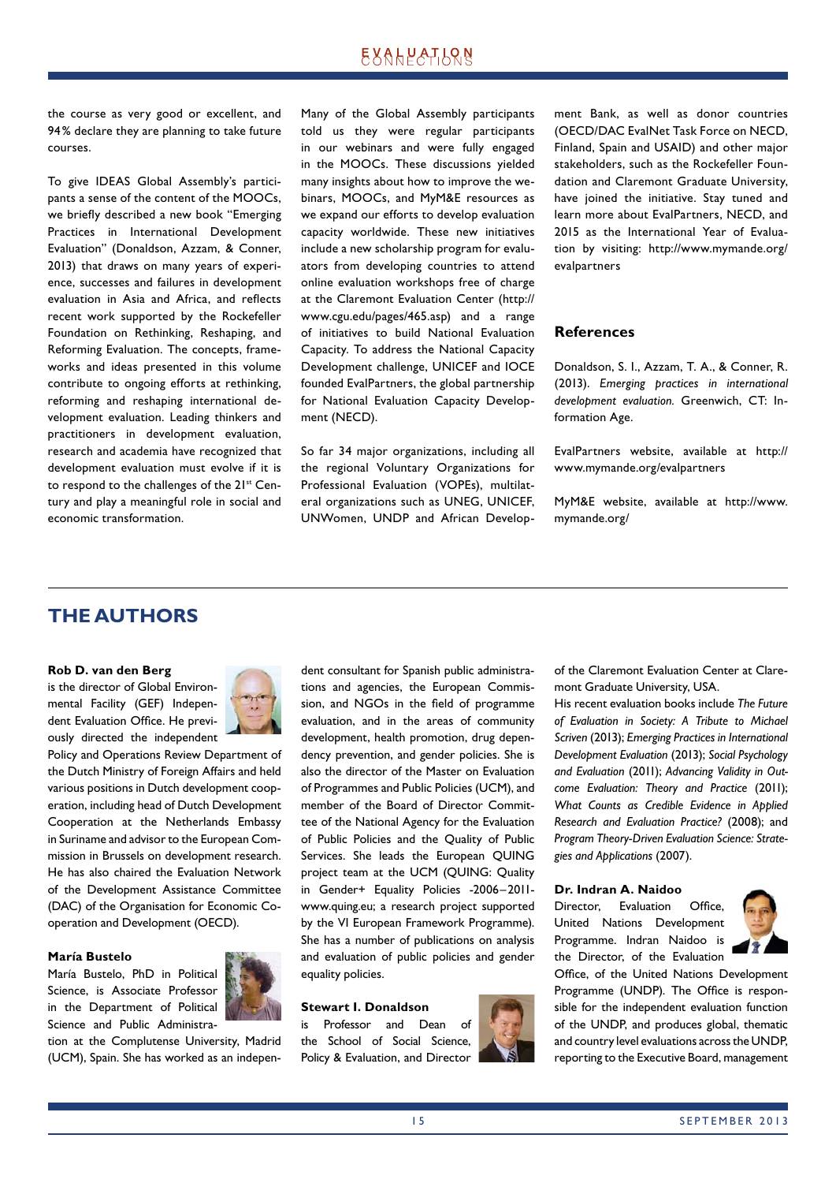# **EXALPATION**

the course as very good or excellent, and 94 % declare they are planning to take future courses.

To give IDEAS Global Assembly's participants a sense of the content of the MOOCs, we briefly described a new book "Emerging Practices in International Development Evaluation" (Donaldson, Azzam, & Conner, 2013) that draws on many years of experience, successes and failures in development evaluation in Asia and Africa, and reflects recent work supported by the Rockefeller Foundation on Rethinking, Reshaping, and Reforming Evaluation. The concepts, frameworks and ideas presented in this volume contribute to ongoing efforts at rethinking, reforming and reshaping international development evaluation. Leading thinkers and practitioners in development evaluation, research and academia have recognized that development evaluation must evolve if it is to respond to the challenges of the 21<sup>st</sup> Century and play a meaningful role in social and economic transformation.

Many of the Global Assembly participants told us they were regular participants in our webinars and were fully engaged in the MOOCs. These discussions yielded many insights about how to improve the webinars, MOOCs, and MyM&E resources as we expand our efforts to develop evaluation capacity worldwide. These new initiatives include a new scholarship program for evaluators from developing countries to attend online evaluation workshops free of charge at the Claremont Evaluation Center (http:// www.cgu.edu/pages/465.asp) and a range of initiatives to build National Evaluation Capacity. To address the National Capacity Development challenge, UNICEF and IOCE founded EvalPartners, the global partnership for National Evaluation Capacity Development (NECD).

So far 34 major organizations, including all the regional Voluntary Organizations for Professional Evaluation (VOPEs), multilateral organizations such as UNEG, UNICEF, UNWomen, UNDP and African Development Bank, as well as donor countries (OECD/DAC EvalNet Task Force on NECD, Finland, Spain and USAID) and other major stakeholders, such as the Rockefeller Foundation and Claremont Graduate University, have joined the initiative. Stay tuned and learn more about EvalPartners, NECD, and 2015 as the International Year of Evaluation by visiting: http://www.mymande.org/ evalpartners

#### **References**

Donaldson, S. I., Azzam, T. A., & Conner, R. (2013). *Emerging practices in international development evaluation.* Greenwich, CT: Information Age.

EvalPartners website, available at http:// www.mymande.org/evalpartners

MyM&E website, available at http://www. mymande.org/

## **THE AUTHORS**

#### **Rob D. van den Berg**

is the director of Global Environmental Facility (GEF) Independent Evaluation Office. He previously directed the independent



Policy and Operations Review Department of the Dutch Ministry of Foreign Affairs and held various positions in Dutch development cooperation, including head of Dutch Development Cooperation at the Netherlands Embassy in Suriname and advisor to the European Commission in Brussels on development research. He has also chaired the Evaluation Network of the Development Assistance Committee (DAC) of the Organisation for Economic Cooperation and Development (OECD).

#### **María Bustelo**

María Bustelo, PhD in Political Science, is Associate Professor in the Department of Political Science and Public Administra-



tion at the Complutense University, Madrid (UCM), Spain. She has worked as an independent consultant for Spanish public administrations and agencies, the European Commission, and NGOs in the field of programme evaluation, and in the areas of community development, health promotion, drug dependency prevention, and gender policies. She is also the director of the Master on Evaluation of Programmes and Public Policies (UCM), and member of the Board of Director Committee of the National Agency for the Evaluation of Public Policies and the Quality of Public Services. She leads the European QUING project team at the UCM (OUING: Ouality in Gender+ Equality Policies -2006-2011www.quing.eu; a research project supported by the VI European Framework Programme). She has a number of publications on analysis and evaluation of public policies and gender equality policies.

#### **Stewart I. Donaldson**

is Professor and Dean of the School of Social Science, Policy & Evaluation, and Director



of the Claremont Evaluation Center at Claremont Graduate University, USA.

His recent evaluation books include *The Future of Evaluation in Society: A Tribute to Michael Scriven* (2013); *Emerging Practices in International Development Evaluation* (2013); *Social Psycho logy and Evaluation* (2011); *Advancing Validity in Outcome Evaluation: Theory and Practice* (2011); *What Counts as Credible Evidence in Applied Research and Evaluation Practice?* (2008); and *Program Theory-Driven Evaluation Science: Strategies and Applications* (2007).

#### **Dr. Indran A. Naidoo**

Director, Evaluation Office, United Nations Development Programme. Indran Naidoo is the Director, of the Evaluation



Office, of the United Nations Development Programme (UNDP). The Office is responsible for the independent evaluation function of the UNDP, and produces global, thematic and country level evaluations across the UNDP, reporting to the Executive Board, management